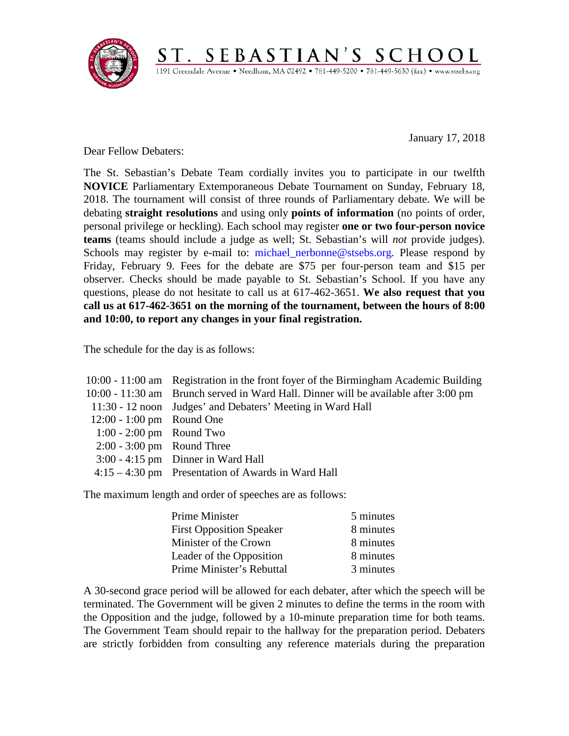

January 17, 2018

Dear Fellow Debaters:

The St. Sebastian's Debate Team cordially invites you to participate in our twelfth **NOVICE** Parliamentary Extemporaneous Debate Tournament on Sunday, February 18, 2018. The tournament will consist of three rounds of Parliamentary debate. We will be debating **straight resolutions** and using only **points of information** (no points of order, personal privilege or heckling). Each school may register **one or two four-person novice teams** (teams should include a judge as well; St. Sebastian's will *not* provide judges). Schools may register by e-mail to: michael nerbonne@stsebs.org. Please respond by Friday, February 9. Fees for the debate are \$75 per four-person team and \$15 per observer. Checks should be made payable to St. Sebastian's School. If you have any questions, please do not hesitate to call us at 617-462-3651. **We also request that you call us at 617-462-3651 on the morning of the tournament, between the hours of 8:00 and 10:00, to report any changes in your final registration.**

 $\underbrace{S\ T\ .\ \ S\ E\ B\ A\ S\ T\ I\ A\ N\ '\ S\ \ S\ C\ H\ O\ O\ L}_{\text{1191 Greendale Avenue}\cdot\ \text{Needham},\ \text{MA}\ 02492\bullet781\text{-}449\text{-}5200\bullet781\text{-}449\text{-}5630\ (\text{fax})\bullet\ \text{www-stsebs.org}}$ 

The schedule for the day is as follows:

|                              | 10:00 - 11:00 am Registration in the front foyer of the Birmingham Academic Building |
|------------------------------|--------------------------------------------------------------------------------------|
|                              | 10:00 - 11:30 am Brunch served in Ward Hall. Dinner will be available after 3:00 pm  |
|                              | 11:30 - 12 noon Judges' and Debaters' Meeting in Ward Hall                           |
| 12:00 - 1:00 pm Round One    |                                                                                      |
| $1:00 - 2:00$ pm Round Two   |                                                                                      |
| $2:00 - 3:00$ pm Round Three |                                                                                      |
|                              | $3:00 - 4:15$ pm Dinner in Ward Hall                                                 |
|                              | $4:15-4:30$ pm Presentation of Awards in Ward Hall                                   |
|                              |                                                                                      |

The maximum length and order of speeches are as follows:

| <b>Prime Minister</b>           | 5 minutes |
|---------------------------------|-----------|
| <b>First Opposition Speaker</b> | 8 minutes |
| Minister of the Crown           | 8 minutes |
| Leader of the Opposition        | 8 minutes |
| Prime Minister's Rebuttal       | 3 minutes |

A 30-second grace period will be allowed for each debater, after which the speech will be terminated. The Government will be given 2 minutes to define the terms in the room with the Opposition and the judge, followed by a 10-minute preparation time for both teams. The Government Team should repair to the hallway for the preparation period. Debaters are strictly forbidden from consulting any reference materials during the preparation